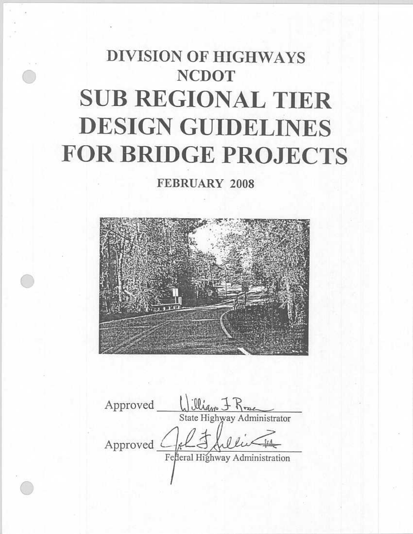# **DIVISION OF HIGHWAYS NCDOT SUB REGIONAL TIER DESIGN GUIDELINES FOR BRIDGE PROJECTS**

FEBRUARY 2008



illian J Rose Approved State Highway Administrator Approved Federal Highway Administration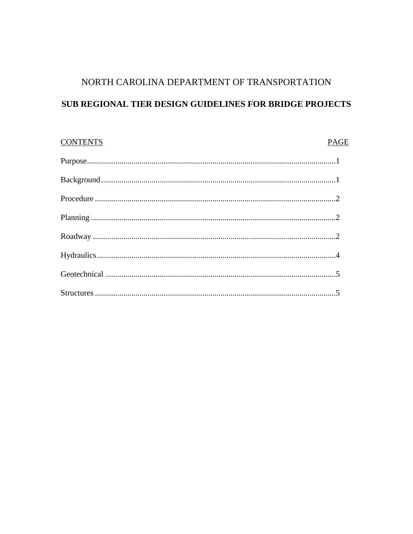## NORTH CAROLINA DEPARTMENT OF TRANSPORTATION

## SUB REGIONAL TIER DESIGN GUIDELINES FOR BRIDGE PROJECTS

| <b>CONTENTS</b> | <b>PAGE</b> |
|-----------------|-------------|
|                 |             |
|                 |             |
|                 |             |
|                 |             |
|                 |             |
|                 |             |
|                 |             |
|                 |             |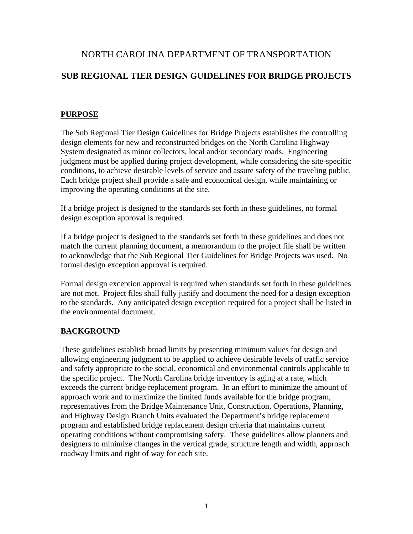## NORTH CAROLINA DEPARTMENT OF TRANSPORTATION

## **SUB REGIONAL TIER DESIGN GUIDELINES FOR BRIDGE PROJECTS**

#### **PURPOSE**

The Sub Regional Tier Design Guidelines for Bridge Projects establishes the controlling design elements for new and reconstructed bridges on the North Carolina Highway System designated as minor collectors, local and/or secondary roads. Engineering judgment must be applied during project development, while considering the site-specific conditions, to achieve desirable levels of service and assure safety of the traveling public. Each bridge project shall provide a safe and economical design, while maintaining or improving the operating conditions at the site.

If a bridge project is designed to the standards set forth in these guidelines, no formal design exception approval is required.

If a bridge project is designed to the standards set forth in these guidelines and does not match the current planning document, a memorandum to the project file shall be written to acknowledge that the Sub Regional Tier Guidelines for Bridge Projects was used. No formal design exception approval is required.

Formal design exception approval is required when standards set forth in these guidelines are not met. Project files shall fully justify and document the need for a design exception to the standards. Any anticipated design exception required for a project shall be listed in the environmental document.

### **BACKGROUND**

These guidelines establish broad limits by presenting minimum values for design and allowing engineering judgment to be applied to achieve desirable levels of traffic service and safety appropriate to the social, economical and environmental controls applicable to the specific project. The North Carolina bridge inventory is aging at a rate, which exceeds the current bridge replacement program. In an effort to minimize the amount of approach work and to maximize the limited funds available for the bridge program, representatives from the Bridge Maintenance Unit, Construction, Operations, Planning, and Highway Design Branch Units evaluated the Department's bridge replacement program and established bridge replacement design criteria that maintains current operating conditions without compromising safety. These guidelines allow planners and designers to minimize changes in the vertical grade, structure length and width, approach roadway limits and right of way for each site.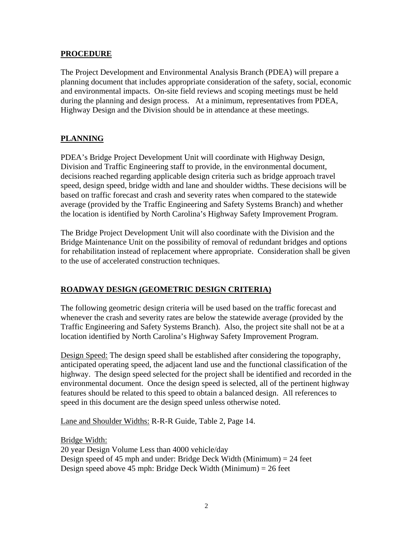#### **PROCEDURE**

The Project Development and Environmental Analysis Branch (PDEA) will prepare a planning document that includes appropriate consideration of the safety, social, economic and environmental impacts. On-site field reviews and scoping meetings must be held during the planning and design process. At a minimum, representatives from PDEA, Highway Design and the Division should be in attendance at these meetings.

#### **PLANNING**

PDEA's Bridge Project Development Unit will coordinate with Highway Design, Division and Traffic Engineering staff to provide, in the environmental document, decisions reached regarding applicable design criteria such as bridge approach travel speed, design speed, bridge width and lane and shoulder widths. These decisions will be based on traffic forecast and crash and severity rates when compared to the statewide average (provided by the Traffic Engineering and Safety Systems Branch) and whether the location is identified by North Carolina's Highway Safety Improvement Program.

The Bridge Project Development Unit will also coordinate with the Division and the Bridge Maintenance Unit on the possibility of removal of redundant bridges and options for rehabilitation instead of replacement where appropriate. Consideration shall be given to the use of accelerated construction techniques.

#### **ROADWAY DESIGN (GEOMETRIC DESIGN CRITERIA)**

The following geometric design criteria will be used based on the traffic forecast and whenever the crash and severity rates are below the statewide average (provided by the Traffic Engineering and Safety Systems Branch). Also, the project site shall not be at a location identified by North Carolina's Highway Safety Improvement Program.

Design Speed: The design speed shall be established after considering the topography, anticipated operating speed, the adjacent land use and the functional classification of the highway. The design speed selected for the project shall be identified and recorded in the environmental document. Once the design speed is selected, all of the pertinent highway features should be related to this speed to obtain a balanced design. All references to speed in this document are the design speed unless otherwise noted.

Lane and Shoulder Widths: R-R-R Guide, Table 2, Page 14.

Bridge Width:

20 year Design Volume Less than 4000 vehicle/day Design speed of 45 mph and under: Bridge Deck Width (Minimum) = 24 feet Design speed above 45 mph: Bridge Deck Width (Minimum) = 26 feet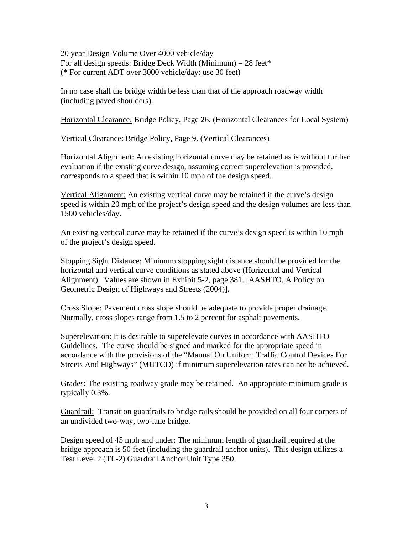20 year Design Volume Over 4000 vehicle/day For all design speeds: Bridge Deck Width (Minimum) =  $28$  feet\* (\* For current ADT over 3000 vehicle/day: use 30 feet)

In no case shall the bridge width be less than that of the approach roadway width (including paved shoulders).

Horizontal Clearance: Bridge Policy, Page 26. (Horizontal Clearances for Local System)

Vertical Clearance: Bridge Policy, Page 9. (Vertical Clearances)

Horizontal Alignment: An existing horizontal curve may be retained as is without further evaluation if the existing curve design, assuming correct superelevation is provided, corresponds to a speed that is within 10 mph of the design speed.

Vertical Alignment: An existing vertical curve may be retained if the curve's design speed is within 20 mph of the project's design speed and the design volumes are less than 1500 vehicles/day.

An existing vertical curve may be retained if the curve's design speed is within 10 mph of the project's design speed.

Stopping Sight Distance: Minimum stopping sight distance should be provided for the horizontal and vertical curve conditions as stated above (Horizontal and Vertical Alignment). Values are shown in Exhibit 5-2, page 381. [AASHTO, A Policy on Geometric Design of Highways and Streets (2004)].

Cross Slope: Pavement cross slope should be adequate to provide proper drainage. Normally, cross slopes range from 1.5 to 2 percent for asphalt pavements.

Superelevation: It is desirable to superelevate curves in accordance with AASHTO Guidelines. The curve should be signed and marked for the appropriate speed in accordance with the provisions of the "Manual On Uniform Traffic Control Devices For Streets And Highways" (MUTCD) if minimum superelevation rates can not be achieved.

Grades: The existing roadway grade may be retained. An appropriate minimum grade is typically 0.3%.

Guardrail: Transition guardrails to bridge rails should be provided on all four corners of an undivided two-way, two-lane bridge.

Design speed of 45 mph and under: The minimum length of guardrail required at the bridge approach is 50 feet (including the guardrail anchor units). This design utilizes a Test Level 2 (TL-2) Guardrail Anchor Unit Type 350.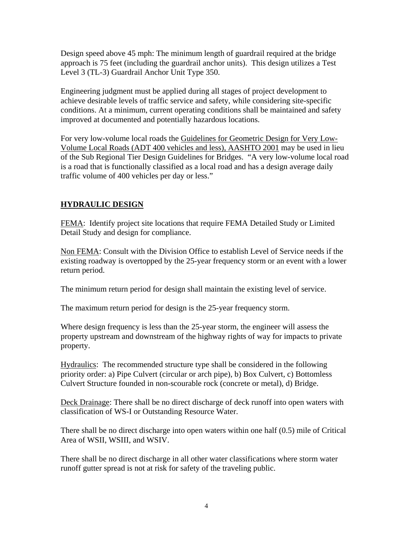Design speed above 45 mph: The minimum length of guardrail required at the bridge approach is 75 feet (including the guardrail anchor units). This design utilizes a Test Level 3 (TL-3) Guardrail Anchor Unit Type 350.

Engineering judgment must be applied during all stages of project development to achieve desirable levels of traffic service and safety, while considering site-specific conditions. At a minimum, current operating conditions shall be maintained and safety improved at documented and potentially hazardous locations.

For very low-volume local roads the Guidelines for Geometric Design for Very Low-Volume Local Roads (ADT 400 vehicles and less), AASHTO 2001 may be used in lieu of the Sub Regional Tier Design Guidelines for Bridges. "A very low-volume local road is a road that is functionally classified as a local road and has a design average daily traffic volume of 400 vehicles per day or less."

#### **HYDRAULIC DESIGN**

FEMA: Identify project site locations that require FEMA Detailed Study or Limited Detail Study and design for compliance.

Non FEMA: Consult with the Division Office to establish Level of Service needs if the existing roadway is overtopped by the 25-year frequency storm or an event with a lower return period.

The minimum return period for design shall maintain the existing level of service.

The maximum return period for design is the 25-year frequency storm.

Where design frequency is less than the 25-year storm, the engineer will assess the property upstream and downstream of the highway rights of way for impacts to private property.

Hydraulics: The recommended structure type shall be considered in the following priority order: a) Pipe Culvert (circular or arch pipe), b) Box Culvert, c) Bottomless Culvert Structure founded in non-scourable rock (concrete or metal), d) Bridge.

Deck Drainage: There shall be no direct discharge of deck runoff into open waters with classification of WS-I or Outstanding Resource Water.

There shall be no direct discharge into open waters within one half (0.5) mile of Critical Area of WSII, WSIII, and WSIV.

There shall be no direct discharge in all other water classifications where storm water runoff gutter spread is not at risk for safety of the traveling public.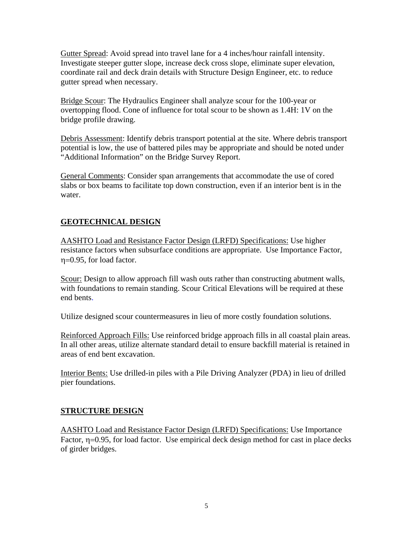Gutter Spread: Avoid spread into travel lane for a 4 inches/hour rainfall intensity. Investigate steeper gutter slope, increase deck cross slope, eliminate super elevation, coordinate rail and deck drain details with Structure Design Engineer, etc. to reduce gutter spread when necessary.

Bridge Scour: The Hydraulics Engineer shall analyze scour for the 100-year or overtopping flood. Cone of influence for total scour to be shown as 1.4H: 1V on the bridge profile drawing.

Debris Assessment: Identify debris transport potential at the site. Where debris transport potential is low, the use of battered piles may be appropriate and should be noted under "Additional Information" on the Bridge Survey Report.

General Comments: Consider span arrangements that accommodate the use of cored slabs or box beams to facilitate top down construction, even if an interior bent is in the water.

#### **GEOTECHNICAL DESIGN**

AASHTO Load and Resistance Factor Design (LRFD) Specifications: Use higher resistance factors when subsurface conditions are appropriate. Use Importance Factor, η=0.95, for load factor.

Scour: Design to allow approach fill wash outs rather than constructing abutment walls, with foundations to remain standing. Scour Critical Elevations will be required at these end bents.

Utilize designed scour countermeasures in lieu of more costly foundation solutions.

Reinforced Approach Fills: Use reinforced bridge approach fills in all coastal plain areas. In all other areas, utilize alternate standard detail to ensure backfill material is retained in areas of end bent excavation.

Interior Bents: Use drilled-in piles with a Pile Driving Analyzer (PDA) in lieu of drilled pier foundations.

#### **STRUCTURE DESIGN**

AASHTO Load and Resistance Factor Design (LRFD) Specifications: Use Importance Factor,  $\eta$ =0.95, for load factor. Use empirical deck design method for cast in place decks of girder bridges.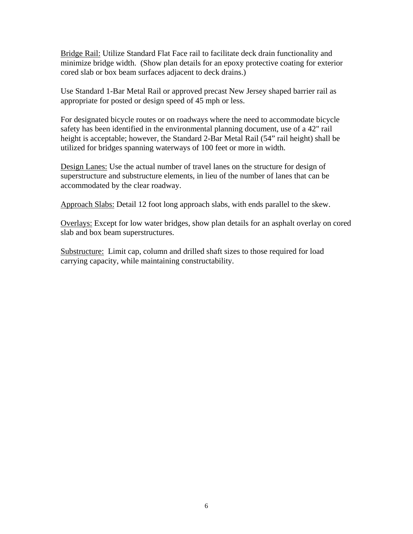Bridge Rail: Utilize Standard Flat Face rail to facilitate deck drain functionality and minimize bridge width. (Show plan details for an epoxy protective coating for exterior cored slab or box beam surfaces adjacent to deck drains.)

Use Standard 1-Bar Metal Rail or approved precast New Jersey shaped barrier rail as appropriate for posted or design speed of 45 mph or less.

For designated bicycle routes or on roadways where the need to accommodate bicycle safety has been identified in the environmental planning document, use of a 42" rail height is acceptable; however, the Standard 2-Bar Metal Rail (54" rail height) shall be utilized for bridges spanning waterways of 100 feet or more in width.

Design Lanes: Use the actual number of travel lanes on the structure for design of superstructure and substructure elements, in lieu of the number of lanes that can be accommodated by the clear roadway.

Approach Slabs: Detail 12 foot long approach slabs, with ends parallel to the skew.

Overlays: Except for low water bridges, show plan details for an asphalt overlay on cored slab and box beam superstructures.

Substructure: Limit cap, column and drilled shaft sizes to those required for load carrying capacity, while maintaining constructability.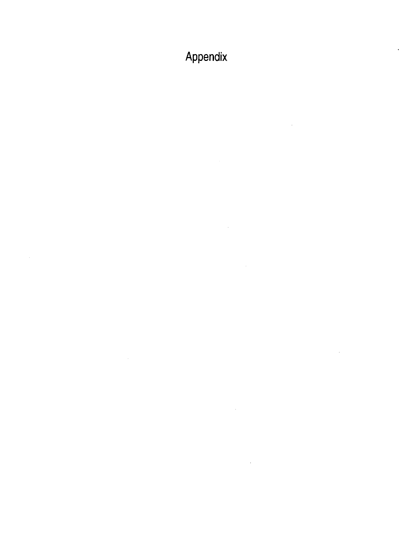Appendix

 $\sim 10^6$ 

 $\mathcal{L}^{\text{max}}_{\text{max}}$  and  $\mathcal{L}^{\text{max}}_{\text{max}}$ 

 $\sim$ 

 $\sim$ 

 $\mathcal{L}^{\text{max}}_{\text{max}}$  and  $\mathcal{L}^{\text{max}}_{\text{max}}$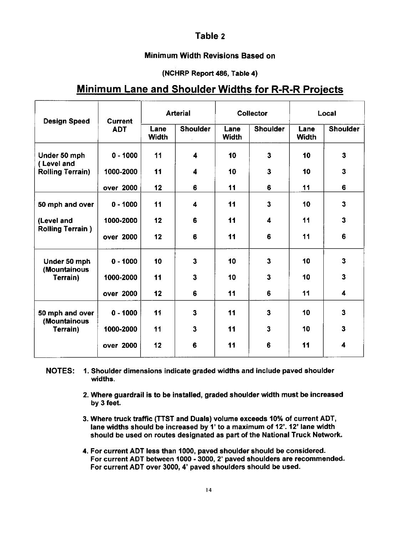#### Table 2

#### Minimum Width Revisions Based on

#### (NCHRP Report 486, Table 4)

### **Minimum Lane and Shoulder Widths for R-R-R Projects**

| <b>Design Speed</b>                                   | <b>Current</b><br><b>ADT</b> | <b>Arterial</b> |                         | <b>Collector</b>     |                         | Local         |                         |
|-------------------------------------------------------|------------------------------|-----------------|-------------------------|----------------------|-------------------------|---------------|-------------------------|
|                                                       |                              | Lane<br>Width   | <b>Shoulder</b>         | Lane<br><b>Width</b> | <b>Shoulder</b>         | Lane<br>Width | <b>Shoulder</b>         |
| Under 50 mph<br>(Level and<br><b>Rolling Terrain)</b> | $0 - 1000$                   | 11              | 4                       | 10                   | $\mathbf{3}$            | 10            | 3                       |
|                                                       | 1000-2000                    | 11              | $\overline{\mathbf{4}}$ | 10                   | $\overline{\mathbf{3}}$ | 10            | 3                       |
|                                                       | over 2000                    | 12              | $\epsilon$              | 11                   | 6                       | 11            | 6                       |
| 50 mph and over                                       | $0 - 1000$                   | 11              | 4                       | 11                   | $\overline{\mathbf{3}}$ | 10            | 3                       |
| (Level and<br><b>Rolling Terrain)</b>                 | 1000-2000                    | 12              | 6                       | 11                   | 4                       | 11            | 3                       |
|                                                       | over 2000                    | 12              | 6                       | 11                   | 6                       | 11            | 6                       |
| Under 50 mph<br>(Mountainous<br>Terrain)              | $0 - 1000$                   | 10              | $\overline{\mathbf{3}}$ | 10                   | 3                       | 10            | 3                       |
|                                                       | 1000-2000                    | 11              | 3                       | 10                   | $\overline{\mathbf{3}}$ | 10            | $\overline{\mathbf{3}}$ |
|                                                       | over 2000                    | 12              | 6                       | 11                   | 6                       | 11            | $\overline{\mathbf{4}}$ |
| 50 mph and over<br>(Mountainous<br>Terrain)           | $0 - 1000$                   | 11              | 3                       | 11                   | 3                       | 10            | $\overline{\mathbf{3}}$ |
|                                                       | 1000-2000                    | 11              | 3                       | 11                   | 3                       | 10            | $\overline{\mathbf{3}}$ |
|                                                       | over 2000                    | 12              | 6                       | 11                   | 6                       | 11            | 4                       |

NOTES: 1. Shoulder dimensions indicate graded widths and include paved shoulder widths.

- 2. Where guardrail is to be installed, graded shoulder width must be increased by 3 feet.
- 3. Where truck traffic (TTST and Duals) volume exceeds 10% of current ADT, lane widths should be increased by 1' to a maximum of 12'. 12' lane width should be used on routes designated as part of the National Truck Network.
- 4. For current ADT less than 1000, paved shoulder should be considered. For current ADT between 1000 - 3000, 2' paved shoulders are recommended. For current ADT over 3000, 4' paved shoulders should be used.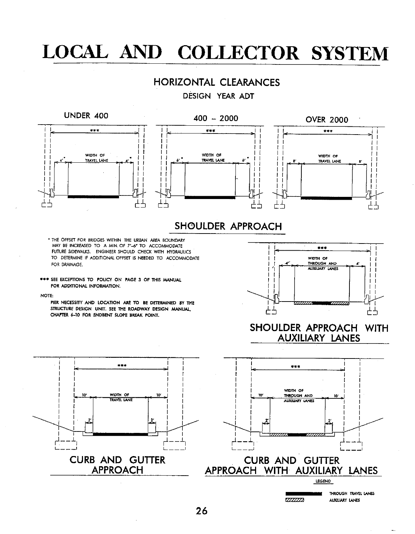## **LOCAL AND COLLECTOR SYSTEM**

### **HORIZONTAL CLEARANCES**

DESIGN YEAR ADT



#### SHOULDER APPROACH WITH **AUXILIARY LANES**





LEGEND

 $***$ WIDTH OF  $10<sup>7</sup>$ **TRAVEL LANE** CURB AND GUTTER **APPROACH** 



THROUGH TRAVEL LANES AUXILIARY LANES